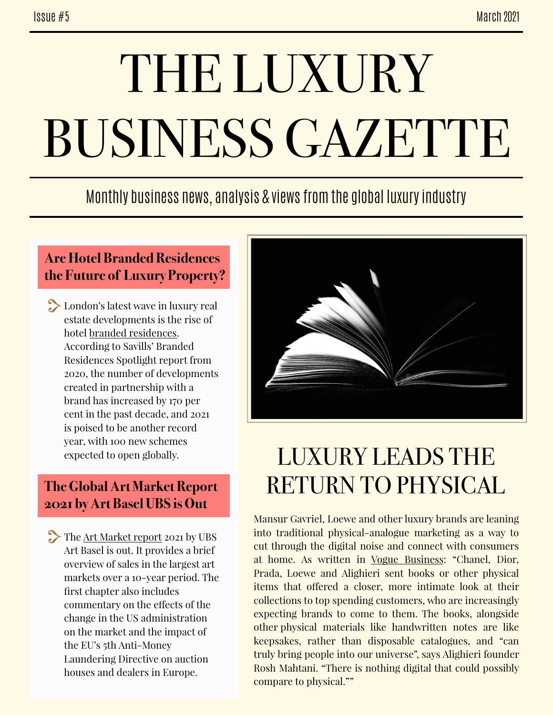# THE LUXURY BUSINESS GAZETTE

### Monthly business news, analysis & views from the global luxury industry

#### **Are Hotel Branded Residences the Future of Luxury Property?**

**London's latest wave in luxury real** estate developments is the rise of hotel [branded residences.](https://luxurylondon.co.uk/house/property/the-rise-of-hotel-branded-residences-luxury-london-property) According to Savills' Branded Residences Spotlight report from 2020, the number of developments created in partnership with a brand has increased by 170 per cent in the past decade, and 2021 is poised to be another record year, with 100 new schemes expected to open globally.

#### **The Global Art Market Report 2021 by Art Basel UBS is Out**

The [Art Market report](https://theartmarket.foleon.com/artbasel/2021/the-global-art-market/) 2021 by UBS Art Basel is out. It provides a brief overview of sales in the largest art markets over a 10-year period. The first chapter also includes commentary on the efects of the change in the US administration on the market and the impact of the EU's 5th Anti-Money Laundering Directive on auction houses and dealers in Europe.



## LUXURY LEADS THE RETURN TO PHYSICAL

Mansur Gavriel, Loewe and other luxury brands are leaning into traditional physical-analogue marketing as a way to cut through the digital noise and connect with consumers at home. As written in [Vogue Business](https://www-voguebusiness-com.cdn.ampproject.org/c/s/www.voguebusiness.com/companies/prints-not-dead-post-pandemic-return-to-physical-marketing/amp): "Chanel, Dior, Prada, Loewe and Alighieri sent books or other physical items that offered a closer, more intimate look at their collections to top spending customers, who are increasingly expecting brands to come to them. The books, alongside other physical materials like handwritten notes are like keepsakes, rather than disposable catalogues, and "can truly bring people into our universe", says Alighieri founder Rosh Mahtani. "There is nothing digital that could possibly compare to physical.""